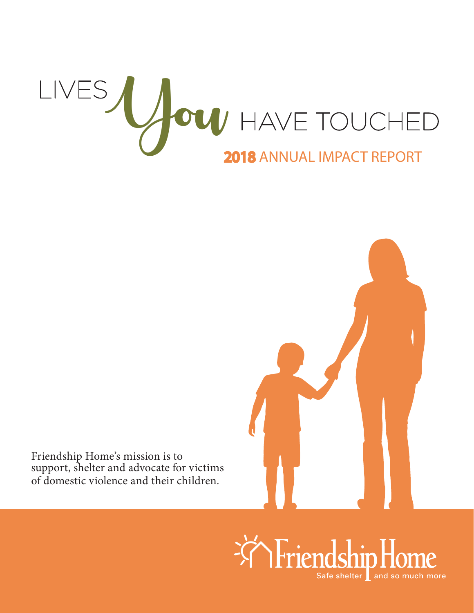# LIVES / / OU HAVE TOUCHED 2018 ANNUAL IMPACT REPORT



Friendship Home's mission is to support, shelter and advocate for victims of domestic violence and their children.

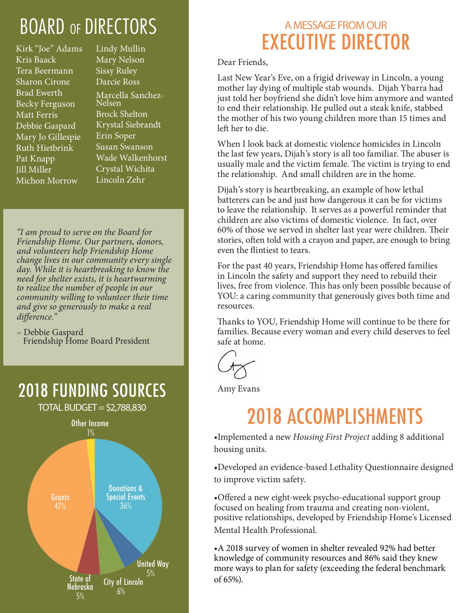# BOARD OF DIRECTORS

Kirk "Joe" Adams Kris Baack Tera Beermann Sharon Cirone Brad Ewerth Becky Ferguson Matt Ferris Debbie Gaspard Mary Jo Gillespie Ruth Hietbrink Pat Knapp Jill Miller Michon Morrow

Lindy Mullin Mary Nelson Sissy Ruley Darcie Ross Marcella Sanchez-Nelsen Brock Shelton Krystal Siebrandt Erin Soper Susan Swanson Wade Walkenhorst Crystal Wichita Lincoln Zehr

*"I am proud to serve on the Board for Friendship Home. Our partners, donors, and volunteers help Friendship Home change lives in our community every single day. While it is heartbreaking to know the need for shelter exists, it is heartwarming to realize the number of people in our community willing to volunteer their time and give so generously to make a real difference."*

– Debbie Gaspard Friendship Home Board President

2018 FUNDING SOURCES

 $TOTAL$  BUDGET = \$2,788,830 Other Income 1% Donations & Special Events 36% State of Nebraska 5% City of Lincoln 6% United Way 5% **Grants** 

### A MESSAGE FROM OUR EXECUTIVE DIRECTOR

Dear Friends,

Last New Year's Eve, on a frigid driveway in Lincoln, a young mother lay dying of multiple stab wounds. Dijah Ybarra had just told her boyfriend she didn't love him anymore and wanted to end their relationship. He pulled out a steak knife, stabbed the mother of his two young children more than 15 times and left her to die.

When I look back at domestic violence homicides in Lincoln the last few years, Dijah's story is all too familiar. The abuser is usually male and the victim female. The victim is trying to end the relationship. And small children are in the home.

Dijah's story is heartbreaking, an example of how lethal batterers can be and just how dangerous it can be for victims to leave the relationship. It serves as a powerful reminder that children are also victims of domestic violence. In fact, over 60% of those we served in shelter last year were children. Their stories, often told with a crayon and paper, are enough to bring even the flintiest to tears.

For the past 40 years, Friendship Home has offered families in Lincoln the safety and support they need to rebuild their lives, free from violence. This has only been possible because of YOU: a caring community that generously gives both time and resources.

Thanks to YOU, Friendship Home will continue to be there for families. Because every woman and every child deserves to feel safe at home.

Amy Evans

## 2018 ACCOMPLISHMENTS

•Implemented a new *Housing First Project* adding 8 additional housing units.

•Developed an evidence-based Lethality Questionnaire designed to improve victim safety.

•Offered a new eight-week psycho-educational support group focused on healing from trauma and creating non-violent, positive relationships, developed by Friendship Home's Licensed Mental Health Professional.

•A 2018 survey of women in shelter revealed 92% had better knowledge of community resources and 86% said they knew more ways to plan for safety (exceeding the federal benchmark of 65%).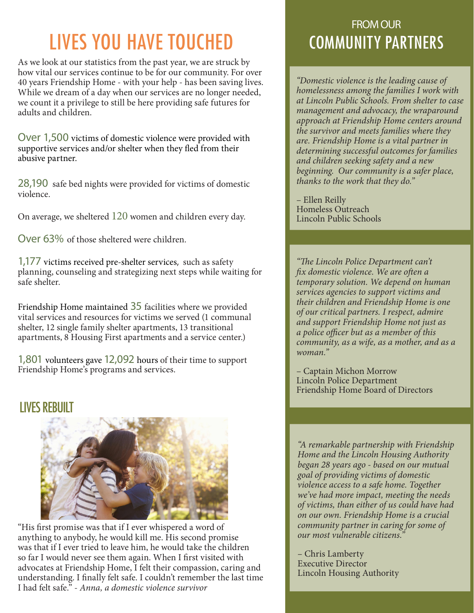# LIVES YOU HAVE TOUCHED

As we look at our statistics from the past year, we are struck by how vital our services continue to be for our community. For over 40 years Friendship Home - with your help - has been saving lives. While we dream of a day when our services are no longer needed, we count it a privilege to still be here providing safe futures for adults and children.

Over 1,500 victims of domestic violence were provided with supportive services and/or shelter when they fled from their abusive partner.

28,190 safe bed nights were provided for victims of domestic violence.

On average, we sheltered 120 women and children every day.

Over 63% of those sheltered were children.

1,177 victims received pre-shelter services, such as safety planning, counseling and strategizing next steps while waiting for safe shelter.

Friendship Home maintained 35 facilities where we provided vital services and resources for victims we served (1 communal shelter, 12 single family shelter apartments, 13 transitional apartments, 8 Housing First apartments and a service center.)

1,801 volunteers gave 12,092 hours of their time to support Friendship Home's programs and services.

#### LIVES REBUIL



"His first promise was that if I ever whispered a word of anything to anybody, he would kill me. His second promise was that if I ever tried to leave him, he would take the children so far I would never see them again. When I first visited with advocates at Friendship Home, I felt their compassion, caring and understanding. I finally felt safe. I couldn't remember the last time I had felt safe." - *Anna, a domestic violence survivor*

#### FROM OUR COMMUNITY PARTNERS

*"Domestic violence is the leading cause of homelessness among the families I work with at Lincoln Public Schools. From shelter to case management and advocacy, the wraparound approach at Friendship Home centers around the survivor and meets families where they are. Friendship Home is a vital partner in determining successful outcomes for families and children seeking safety and a new beginning. Our community is a safer place, thanks to the work that they do."*

– Ellen Reilly Homeless Outreach Lincoln Public Schools

*"The Lincoln Police Department can't fix domestic violence. We are often a temporary solution. We depend on human services agencies to support victims and their children and Friendship Home is one of our critical partners. I respect, admire and support Friendship Home not just as a police officer but as a member of this community, as a wife, as a mother, and as a woman."*

– Captain Michon Morrow Lincoln Police Department Friendship Home Board of Directors

*"A remarkable partnership with Friendship Home and the Lincoln Housing Authority began 28 years ago - based on our mutual goal of providing victims of domestic violence access to a safe home. Together we've had more impact, meeting the needs of victims, than either of us could have had on our own. Friendship Home is a crucial community partner in caring for some of our most vulnerable citizens."*

– Chris Lamberty Executive Director Lincoln Housing Authority